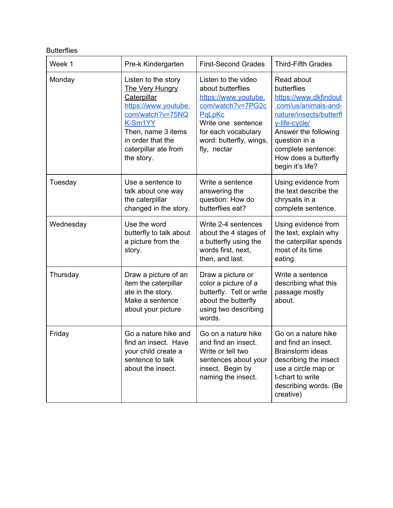## **Butterflies**

| Week 1    | Pre-k Kindergarten                                                                                                                                                                            | <b>First-Second Grades</b>                                                                                                                                                             | <b>Third-Fifth Grades</b>                                                                                                                                                                                                         |
|-----------|-----------------------------------------------------------------------------------------------------------------------------------------------------------------------------------------------|----------------------------------------------------------------------------------------------------------------------------------------------------------------------------------------|-----------------------------------------------------------------------------------------------------------------------------------------------------------------------------------------------------------------------------------|
| Monday    | Listen to the story<br>The Very Hungry<br>Caterpillar<br>https://www.youtube.<br>com/watch?v=75NQ<br>K-Sm1YY<br>Then, name 3 items<br>in order that the<br>caterpillar ate from<br>the story. | Listen to the video<br>about butterflies<br>https://www.youtube.<br>com/watch?v=7PG2c<br>PaLpKc<br>Write one sentence<br>for each vocabulary<br>word: butterfly, wings,<br>fly, nectar | Read about<br>butterflies<br>https://www.dkfindout<br>.com/us/animals-and-<br>nature/insects/butterfl<br>y-life-cycle/<br>Answer the following<br>question in a<br>complete sentence:<br>How does a butterfly<br>begin it's life? |
| Tuesday   | Use a sentence to<br>talk about one way<br>the caterpillar<br>changed in the story.                                                                                                           | Write a sentence<br>answering the<br>question: How do<br>butterflies eat?                                                                                                              | Using evidence from<br>the text describe the<br>chrysalis in a<br>complete sentence.                                                                                                                                              |
| Wednesday | Use the word<br>butterfly to talk about<br>a picture from the<br>story.                                                                                                                       | Write 2-4 sentences<br>about the 4 stages of<br>a butterfly using the<br>words first, next,<br>then, and last.                                                                         | Using evidence from<br>the text, explain why<br>the caterpillar spends<br>most of its time<br>eating.                                                                                                                             |
| Thursday  | Draw a picture of an<br>item the caterpillar<br>ate in the story.<br>Make a sentence<br>about your picture                                                                                    | Draw a picture or<br>color a picture of a<br>butterfly. Tell or write<br>about the butterfly<br>using two describing<br>words.                                                         | Write a sentence<br>describing what this<br>passage mostly<br>about.                                                                                                                                                              |
| Friday    | Go a nature hike and<br>find an insect. Have<br>your child create a<br>sentence to talk<br>about the insect.                                                                                  | Go on a nature hike<br>and find an insect.<br>Write or tell two<br>sentences about your<br>insect. Begin by<br>naming the insect.                                                      | Go on a nature hike<br>and find an insect.<br>Brainstorm ideas<br>describing the insect<br>use a circle map or<br>t-chart to write<br>describing words. (Be<br>creative)                                                          |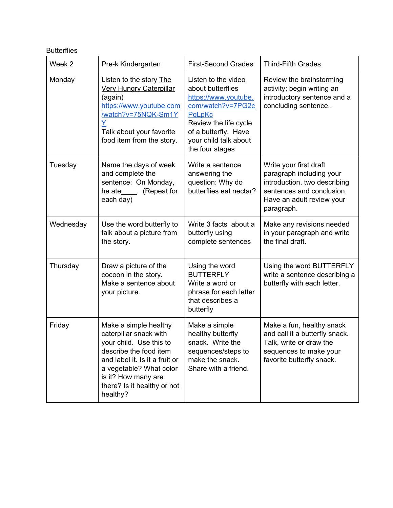## **Butterflies**

| Week 2    | Pre-k Kindergarten                                                                                                                                                                                                                  | <b>First-Second Grades</b>                                                                                                                                                                   | <b>Third-Fifth Grades</b>                                                                                                                                  |
|-----------|-------------------------------------------------------------------------------------------------------------------------------------------------------------------------------------------------------------------------------------|----------------------------------------------------------------------------------------------------------------------------------------------------------------------------------------------|------------------------------------------------------------------------------------------------------------------------------------------------------------|
| Monday    | Listen to the story The<br><b>Very Hungry Caterpillar</b><br>(again)<br>https://www.youtube.com<br>/watch?v=75NQK-Sm1Y<br>Ÿ<br>Talk about your favorite<br>food item from the story.                                                | Listen to the video<br>about butterflies<br>https://www.youtube.<br>com/watch?v=7PG2c<br>PaLpKc<br>Review the life cycle<br>of a butterfly. Have<br>your child talk about<br>the four stages | Review the brainstorming<br>activity; begin writing an<br>introductory sentence and a<br>concluding sentence                                               |
| Tuesday   | Name the days of week<br>and complete the<br>sentence: On Monday,<br>he ate_____. (Repeat for<br>each day)                                                                                                                          | Write a sentence<br>answering the<br>question: Why do<br>butterflies eat nectar?                                                                                                             | Write your first draft<br>paragraph including your<br>introduction, two describing<br>sentences and conclusion.<br>Have an adult review your<br>paragraph. |
| Wednesday | Use the word butterfly to<br>talk about a picture from<br>the story.                                                                                                                                                                | Write 3 facts about a<br>butterfly using<br>complete sentences                                                                                                                               | Make any revisions needed<br>in your paragraph and write<br>the final draft.                                                                               |
| Thursday  | Draw a picture of the<br>cocoon in the story.<br>Make a sentence about<br>your picture.                                                                                                                                             | Using the word<br><b>BUTTERFLY</b><br>Write a word or<br>phrase for each letter<br>that describes a<br>butterfly                                                                             | Using the word BUTTERFLY<br>write a sentence describing a<br>butterfly with each letter.                                                                   |
| Friday    | Make a simple healthy<br>caterpillar snack with<br>your child. Use this to<br>describe the food item<br>and label it. Is it a fruit or<br>a vegetable? What color<br>is it? How many are<br>there? Is it healthy or not<br>healthy? | Make a simple<br>healthy butterfly<br>snack. Write the<br>sequences/steps to<br>make the snack.<br>Share with a friend.                                                                      | Make a fun, healthy snack<br>and call it a butterfly snack.<br>Talk, write or draw the<br>sequences to make your<br>favorite butterfly snack.              |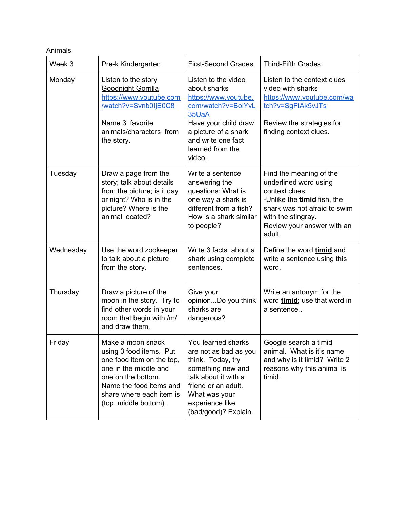## Animals

| Week 3    | Pre-k Kindergarten                                                                                                                                                                                       | <b>First-Second Grades</b>                                                                                                                                                                       | <b>Third-Fifth Grades</b>                                                                                                                                                                       |
|-----------|----------------------------------------------------------------------------------------------------------------------------------------------------------------------------------------------------------|--------------------------------------------------------------------------------------------------------------------------------------------------------------------------------------------------|-------------------------------------------------------------------------------------------------------------------------------------------------------------------------------------------------|
| Monday    | Listen to the story<br><b>Goodnight Gorrilla</b><br>https://www.youtube.com<br>/watch?v=Svnb0IjE0C8<br>Name 3 favorite<br>animals/characters from<br>the story.                                          | Listen to the video<br>about sharks<br>https://www.youtube.<br>com/watch?v=BolYvL<br>35UaA<br>Have your child draw<br>a picture of a shark<br>and write one fact<br>learned from the<br>video.   | Listen to the context clues<br>video with sharks<br>https://www.youtube.com/wa<br>tch?v=SgFtAk5vJTs<br>Review the strategies for<br>finding context clues.                                      |
| Tuesday   | Draw a page from the<br>story; talk about details<br>from the picture; is it day<br>or night? Who is in the<br>picture? Where is the<br>animal located?                                                  | Write a sentence<br>answering the<br>questions: What is<br>one way a shark is<br>different from a fish?<br>How is a shark similar<br>to people?                                                  | Find the meaning of the<br>underlined word using<br>context clues:<br>-Unlike the timid fish, the<br>shark was not afraid to swim<br>with the stingray.<br>Review your answer with an<br>adult. |
| Wednesday | Use the word zookeeper<br>to talk about a picture<br>from the story.                                                                                                                                     | Write 3 facts about a<br>shark using complete<br>sentences.                                                                                                                                      | Define the word timid and<br>write a sentence using this<br>word.                                                                                                                               |
| Thursday  | Draw a picture of the<br>moon in the story. Try to<br>find other words in your<br>room that begin with /m/<br>and draw them.                                                                             | Give your<br>opinionDo you think<br>sharks are<br>dangerous?                                                                                                                                     | Write an antonym for the<br>word timid; use that word in<br>a sentence                                                                                                                          |
| Friday    | Make a moon snack<br>using 3 food items. Put<br>one food item on the top,<br>one in the middle and<br>one on the bottom.<br>Name the food items and<br>share where each item is<br>(top, middle bottom). | You learned sharks<br>are not as bad as you<br>think. Today, try<br>something new and<br>talk about it with a<br>friend or an adult.<br>What was your<br>experience like<br>(bad/good)? Explain. | Google search a timid<br>animal. What is it's name<br>and why is it timid? Write 2<br>reasons why this animal is<br>timid.                                                                      |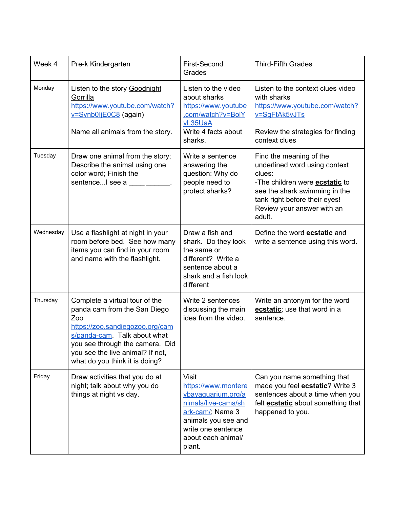| Week 4    | Pre-k Kindergarten                                                                                                                                                                                                                                | First-Second<br>Grades                                                                                                                                                            | <b>Third-Fifth Grades</b>                                                                                                                                                                                             |
|-----------|---------------------------------------------------------------------------------------------------------------------------------------------------------------------------------------------------------------------------------------------------|-----------------------------------------------------------------------------------------------------------------------------------------------------------------------------------|-----------------------------------------------------------------------------------------------------------------------------------------------------------------------------------------------------------------------|
| Monday    | Listen to the story Goodnight<br>Gorrilla<br>https://www.youtube.com/watch?<br>v=Svnb0ljE0C8 (again)<br>Name all animals from the story.                                                                                                          | Listen to the video<br>about sharks<br>https://www.youtube<br>.com/watch?v=BolY<br>vL35UaA<br>Write 4 facts about<br>sharks.                                                      | Listen to the context clues video<br>with sharks<br>https://www.youtube.com/watch?<br>v=SgFtAk5vJTs<br>Review the strategies for finding<br>context clues                                                             |
| Tuesday   | Draw one animal from the story;<br>Describe the animal using one<br>color word; Finish the<br>sentence I see a                                                                                                                                    | Write a sentence<br>answering the<br>question: Why do<br>people need to<br>protect sharks?                                                                                        | Find the meaning of the<br>underlined word using context<br>clues:<br>-The children were <b>ecstatic</b> to<br>see the shark swimming in the<br>tank right before their eyes!<br>Review your answer with an<br>adult. |
| Wednesday | Use a flashlight at night in your<br>room before bed. See how many<br>items you can find in your room<br>and name with the flashlight.                                                                                                            | Draw a fish and<br>shark. Do they look<br>the same or<br>different? Write a<br>sentence about a<br>shark and a fish look<br>different                                             | Define the word <b>ecstatic</b> and<br>write a sentence using this word.                                                                                                                                              |
| Thursday  | Complete a virtual tour of the<br>panda cam from the San Diego<br>Zoo<br>https://zoo.sandiegozoo.org/cam<br>s/panda-cam. Talk about what<br>you see through the camera. Did<br>you see the live animal? If not,<br>what do you think it is doing? | Write 2 sentences<br>discussing the main<br>idea from the video.                                                                                                                  | Write an antonym for the word<br>ecstatic; use that word in a<br>sentence.                                                                                                                                            |
| Friday    | Draw activities that you do at<br>night; talk about why you do<br>things at night vs day.                                                                                                                                                         | <b>Visit</b><br>https://www.montere<br>ybayaquarium.org/a<br>nimals/live-cams/sh<br>ark-cam/; Name 3<br>animals you see and<br>write one sentence<br>about each animal/<br>plant. | Can you name something that<br>made you feel <b>ecstatic</b> ? Write 3<br>sentences about a time when you<br>felt <b>ecstatic</b> about something that<br>happened to you.                                            |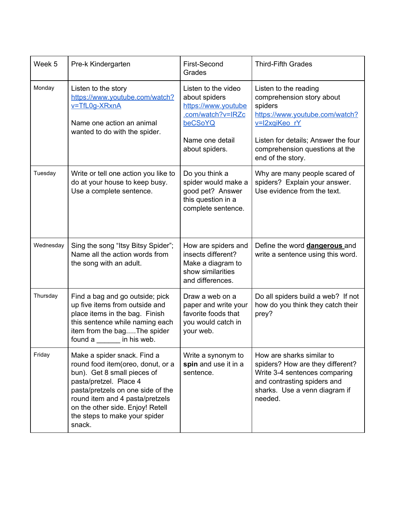| Week 5    | Pre-k Kindergarten                                                                                                                                                                                                                                                               | First-Second<br>Grades                                                                                                           | <b>Third-Fifth Grades</b>                                                                                                                                                                                      |
|-----------|----------------------------------------------------------------------------------------------------------------------------------------------------------------------------------------------------------------------------------------------------------------------------------|----------------------------------------------------------------------------------------------------------------------------------|----------------------------------------------------------------------------------------------------------------------------------------------------------------------------------------------------------------|
| Monday    | Listen to the story<br>https://www.youtube.com/watch?<br>v=TfL0g-XRxnA<br>Name one action an animal<br>wanted to do with the spider.                                                                                                                                             | Listen to the video<br>about spiders<br>https://www.youtube<br>.com/watch?v=IRZc<br>beCSoYQ<br>Name one detail<br>about spiders. | Listen to the reading<br>comprehension story about<br>spiders<br>https://www.youtube.com/watch?<br>v=I2xqiKeo rY<br>Listen for details; Answer the four<br>comprehension questions at the<br>end of the story. |
| Tuesday   | Write or tell one action you like to<br>do at your house to keep busy.<br>Use a complete sentence.                                                                                                                                                                               | Do you think a<br>spider would make a<br>good pet? Answer<br>this question in a<br>complete sentence.                            | Why are many people scared of<br>spiders? Explain your answer.<br>Use evidence from the text.                                                                                                                  |
| Wednesday | Sing the song "Itsy Bitsy Spider";<br>Name all the action words from<br>the song with an adult.                                                                                                                                                                                  | How are spiders and<br>insects different?<br>Make a diagram to<br>show similarities<br>and differences.                          | Define the word <b>dangerous</b> and<br>write a sentence using this word.                                                                                                                                      |
| Thursday  | Find a bag and go outside; pick<br>up five items from outside and<br>place items in the bag. Finish<br>this sentence while naming each<br>item from the bagThe spider<br>found a<br>in his web.                                                                                  | Draw a web on a<br>paper and write your<br>favorite foods that<br>you would catch in<br>your web.                                | Do all spiders build a web? If not<br>how do you think they catch their<br>prey?                                                                                                                               |
| Friday    | Make a spider snack. Find a<br>round food item(oreo, donut, or a<br>bun). Get 8 small pieces of<br>pasta/pretzel. Place 4<br>pasta/pretzels on one side of the<br>round item and 4 pasta/pretzels<br>on the other side. Enjoy! Retell<br>the steps to make your spider<br>snack. | Write a synonym to<br>spin and use it in a<br>sentence.                                                                          | How are sharks similar to<br>spiders? How are they different?<br>Write 3-4 sentences comparing<br>and contrasting spiders and<br>sharks. Use a venn diagram if<br>needed.                                      |